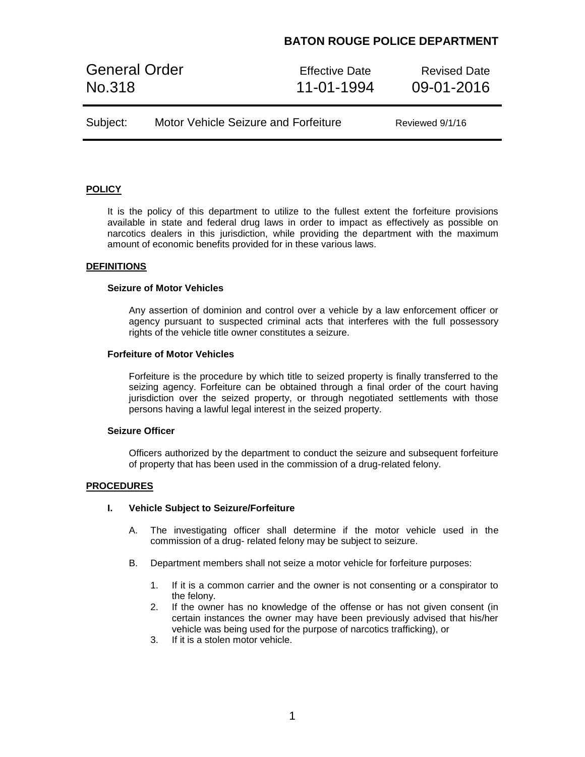## **BATON ROUGE POLICE DEPARTMENT**

General Order **Effective Date** Revised Date No.318 11-01-1994 09-01-2016

| Reviewed 9/1/16 |
|-----------------|
|                 |

## **POLICY**

It is the policy of this department to utilize to the fullest extent the forfeiture provisions available in state and federal drug laws in order to impact as effectively as possible on narcotics dealers in this jurisdiction, while providing the department with the maximum amount of economic benefits provided for in these various laws.

#### **DEFINITIONS**

#### **Seizure of Motor Vehicles**

Any assertion of dominion and control over a vehicle by a law enforcement officer or agency pursuant to suspected criminal acts that interferes with the full possessory rights of the vehicle title owner constitutes a seizure.

### **Forfeiture of Motor Vehicles**

Forfeiture is the procedure by which title to seized property is finally transferred to the seizing agency. Forfeiture can be obtained through a final order of the court having jurisdiction over the seized property, or through negotiated settlements with those persons having a lawful legal interest in the seized property.

## **Seizure Officer**

Officers authorized by the department to conduct the seizure and subsequent forfeiture of property that has been used in the commission of a drug-related felony.

### **PROCEDURES**

#### **I. Vehicle Subject to Seizure/Forfeiture**

- A. The investigating officer shall determine if the motor vehicle used in the commission of a drug- related felony may be subject to seizure.
- B. Department members shall not seize a motor vehicle for forfeiture purposes:
	- 1. If it is a common carrier and the owner is not consenting or a conspirator to the felony.
	- 2. If the owner has no knowledge of the offense or has not given consent (in certain instances the owner may have been previously advised that his/her vehicle was being used for the purpose of narcotics trafficking), or
	- 3. If it is a stolen motor vehicle.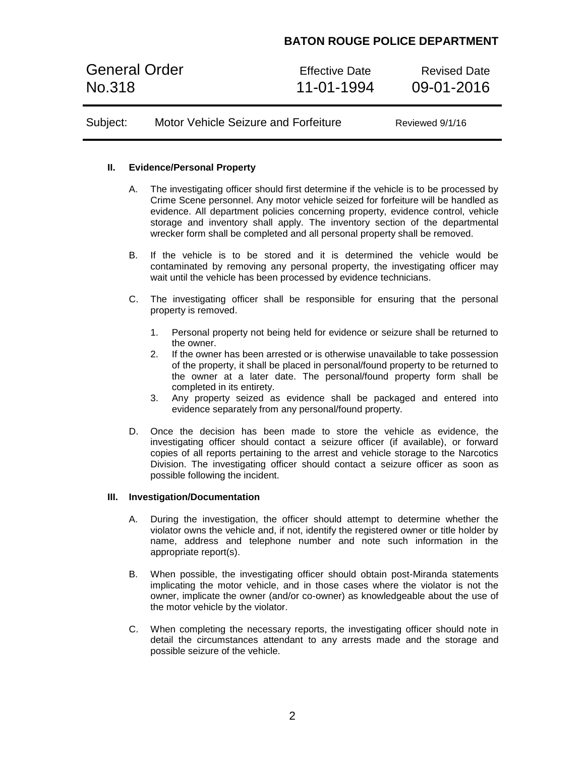# **BATON ROUGE POLICE DEPARTMENT**

General Order **Effective Date** Revised Date No.318 11-01-1994 09-01-2016

Subject: Motor Vehicle Seizure and Forfeiture Reviewed 9/1/16

### **II. Evidence/Personal Property**

- A. The investigating officer should first determine if the vehicle is to be processed by Crime Scene personnel. Any motor vehicle seized for forfeiture will be handled as evidence. All department policies concerning property, evidence control, vehicle storage and inventory shall apply. The inventory section of the departmental wrecker form shall be completed and all personal property shall be removed.
- B. If the vehicle is to be stored and it is determined the vehicle would be contaminated by removing any personal property, the investigating officer may wait until the vehicle has been processed by evidence technicians.
- C. The investigating officer shall be responsible for ensuring that the personal property is removed.
	- 1. Personal property not being held for evidence or seizure shall be returned to the owner.
	- 2. If the owner has been arrested or is otherwise unavailable to take possession of the property, it shall be placed in personal/found property to be returned to the owner at a later date. The personal/found property form shall be completed in its entirety.
	- 3. Any property seized as evidence shall be packaged and entered into evidence separately from any personal/found property.
- D. Once the decision has been made to store the vehicle as evidence, the investigating officer should contact a seizure officer (if available), or forward copies of all reports pertaining to the arrest and vehicle storage to the Narcotics Division. The investigating officer should contact a seizure officer as soon as possible following the incident.

### **III. Investigation/Documentation**

- A. During the investigation, the officer should attempt to determine whether the violator owns the vehicle and, if not, identify the registered owner or title holder by name, address and telephone number and note such information in the appropriate report(s).
- B. When possible, the investigating officer should obtain post-Miranda statements implicating the motor vehicle, and in those cases where the violator is not the owner, implicate the owner (and/or co-owner) as knowledgeable about the use of the motor vehicle by the violator.
- C. When completing the necessary reports, the investigating officer should note in detail the circumstances attendant to any arrests made and the storage and possible seizure of the vehicle.